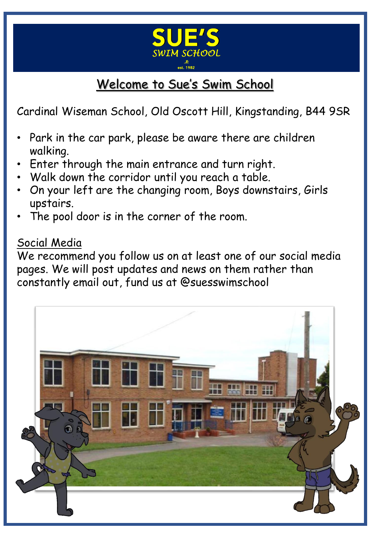

# Welcome to Sue's Swim School

Cardinal Wiseman School, Old Oscott Hill, Kingstanding, B44 9SR

- Park in the car park, please be aware there are children walking.
- Enter through the main entrance and turn right.
- Walk down the corridor until you reach a table.
- On your left are the changing room, Boys downstairs, Girls upstairs.
- The pool door is in the corner of the room.

#### Social Media

We recommend you follow us on at least one of our social media pages. We will post updates and news on them rather than constantly email out, fund us at @suesswimschool